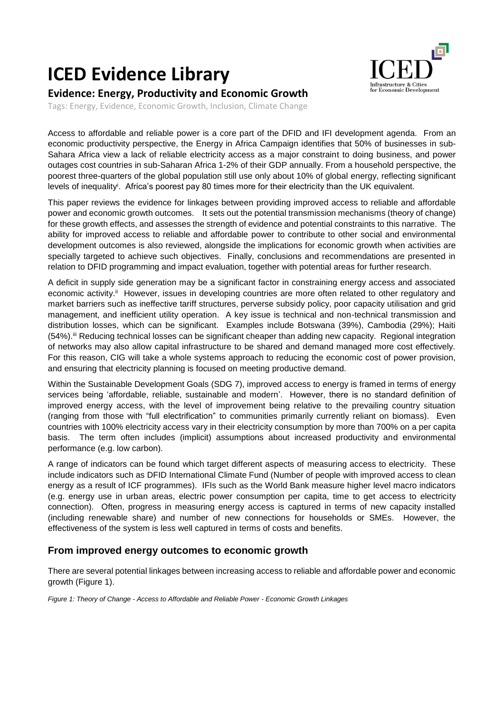# **ICED Evidence Library**



## **Evidence: Energy, Productivity and Economic Growth**

Tags: Energy, Evidence, Economic Growth, Inclusion, Climate Change

Access to affordable and reliable power is a core part of the DFID and IFI development agenda. From an economic productivity perspective, the Energy in Africa Campaign identifies that 50% of businesses in sub-Sahara Africa view a lack of reliable electricity access as a major constraint to doing business, and power outages cost countries in sub-Saharan Africa 1-2% of their GDP annually. From a household perspective, the poorest three-quarters of the global population still use only about 10% of global energy, reflecting significant levels of inequality<sup>i</sup> . Africa's poorest pay 80 times more for their electricity than the UK equivalent.

This paper reviews the evidence for linkages between providing improved access to reliable and affordable power and economic growth outcomes. It sets out the potential transmission mechanisms (theory of change) for these growth effects, and assesses the strength of evidence and potential constraints to this narrative. The ability for improved access to reliable and affordable power to contribute to other social and environmental development outcomes is also reviewed, alongside the implications for economic growth when activities are specially targeted to achieve such objectives. Finally, conclusions and recommendations are presented in relation to DFID programming and impact evaluation, together with potential areas for further research.

A deficit in supply side generation may be a significant factor in constraining energy access and associated economic activity.<sup>ii</sup> However, issues in developing countries are more often related to other regulatory and market barriers such as ineffective tariff structures, perverse subsidy policy, poor capacity utilisation and grid management, and inefficient utility operation. A key issue is technical and non-technical transmission and distribution losses, which can be significant. Examples include Botswana (39%), Cambodia (29%); Haiti (54%).iii Reducing technical losses can be significant cheaper than adding new capacity. Regional integration of networks may also allow capital infrastructure to be shared and demand managed more cost effectively. For this reason, CIG will take a whole systems approach to reducing the economic cost of power provision, and ensuring that electricity planning is focused on meeting productive demand.

Within the Sustainable Development Goals (SDG 7), improved access to energy is framed in terms of energy services being 'affordable, reliable, sustainable and modern'. However, there is no standard definition of improved energy access, with the level of improvement being relative to the prevailing country situation (ranging from those with "full electrification" to communities primarily currently reliant on biomass). Even countries with 100% electricity access vary in their electricity consumption by more than 700% on a per capita basis. The term often includes (implicit) assumptions about increased productivity and environmental performance (e.g. low carbon).

A range of indicators can be found which target different aspects of measuring access to electricity. These include indicators such as DFID International Climate Fund (Number of people with improved access to clean energy as a result of ICF programmes). IFIs such as the World Bank measure higher level macro indicators (e.g. energy use in urban areas, electric power consumption per capita, time to get access to electricity connection). Often, progress in measuring energy access is captured in terms of new capacity installed (including renewable share) and number of new connections for households or SMEs. However, the effectiveness of the system is less well captured in terms of costs and benefits.

## **From improved energy outcomes to economic growth**

There are several potential linkages between increasing access to reliable and affordable power and economic growth (Figure 1).

*Figure 1: Theory of Change - Access to Affordable and Reliable Power - Economic Growth Linkages*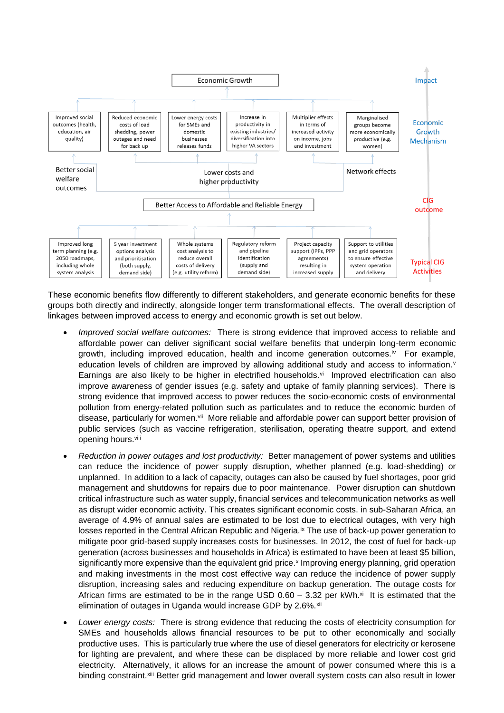

These economic benefits flow differently to different stakeholders, and generate economic benefits for these groups both directly and indirectly, alongside longer term transformational effects. The overall description of linkages between improved access to energy and economic growth is set out below.

- *Improved social welfare outcomes:* There is strong evidence that improved access to reliable and affordable power can deliver significant social welfare benefits that underpin long-term economic growth, including improved education, health and income generation outcomes.<sup>iv</sup> For example, education levels of children are improved by allowing additional study and access to information.<sup>v</sup> Earnings are also likely to be higher in electrified households. $vi$  Improved electrification can also improve awareness of gender issues (e.g. safety and uptake of family planning services). There is strong evidence that improved access to power reduces the socio-economic costs of environmental pollution from energy-related pollution such as particulates and to reduce the economic burden of disease, particularly for women.<sup>vii</sup> More reliable and affordable power can support better provision of public services (such as vaccine refrigeration, sterilisation, operating theatre support, and extend opening hours.viii
- *Reduction in power outages and lost productivity:* Better management of power systems and utilities can reduce the incidence of power supply disruption, whether planned (e.g. load-shedding) or unplanned. In addition to a lack of capacity, outages can also be caused by fuel shortages, poor grid management and shutdowns for repairs due to poor maintenance. Power disruption can shutdown critical infrastructure such as water supply, financial services and telecommunication networks as well as disrupt wider economic activity. This creates significant economic costs. in sub-Saharan Africa, an average of 4.9% of annual sales are estimated to be lost due to electrical outages, with very high losses reported in the Central African Republic and Nigeria.<sup>ix</sup> The use of back-up power generation to mitigate poor grid-based supply increases costs for businesses. In 2012, the cost of fuel for back-up generation (across businesses and households in Africa) is estimated to have been at least \$5 billion, significantly more expensive than the equivalent grid price.<sup>x</sup> Improving energy planning, grid operation and making investments in the most cost effective way can reduce the incidence of power supply disruption, increasing sales and reducing expenditure on backup generation. The outage costs for African firms are estimated to be in the range USD  $0.60 - 3.32$  per kWh. $\alpha$  It is estimated that the elimination of outages in Uganda would increase GDP by 2.6%.<sup>xii</sup>
- *Lower energy costs:* There is strong evidence that reducing the costs of electricity consumption for SMEs and households allows financial resources to be put to other economically and socially productive uses. This is particularly true where the use of diesel generators for electricity or kerosene for lighting are prevalent, and where these can be displaced by more reliable and lower cost grid electricity. Alternatively, it allows for an increase the amount of power consumed where this is a binding constraint.<sup>xiii</sup> Better grid management and lower overall system costs can also result in lower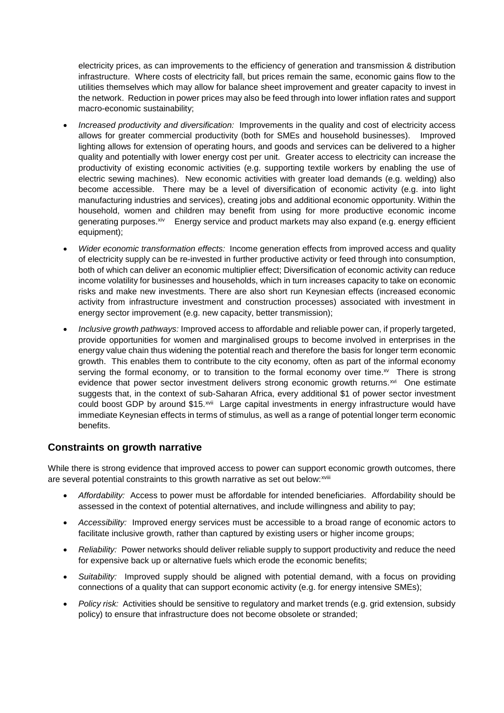electricity prices, as can improvements to the efficiency of generation and transmission & distribution infrastructure. Where costs of electricity fall, but prices remain the same, economic gains flow to the utilities themselves which may allow for balance sheet improvement and greater capacity to invest in the network. Reduction in power prices may also be feed through into lower inflation rates and support macro-economic sustainability;

- *Increased productivity and diversification:* Improvements in the quality and cost of electricity access allows for greater commercial productivity (both for SMEs and household businesses). Improved lighting allows for extension of operating hours, and goods and services can be delivered to a higher quality and potentially with lower energy cost per unit. Greater access to electricity can increase the productivity of existing economic activities (e.g. supporting textile workers by enabling the use of electric sewing machines). New economic activities with greater load demands (e.g. welding) also become accessible. There may be a level of diversification of economic activity (e.g. into light manufacturing industries and services), creating jobs and additional economic opportunity. Within the household, women and children may benefit from using for more productive economic income generating purposes.<sup>xiv</sup> Energy service and product markets may also expand (e.g. energy efficient equipment);
- *Wider economic transformation effects:* Income generation effects from improved access and quality of electricity supply can be re-invested in further productive activity or feed through into consumption, both of which can deliver an economic multiplier effect; Diversification of economic activity can reduce income volatility for businesses and households, which in turn increases capacity to take on economic risks and make new investments. There are also short run Keynesian effects (increased economic activity from infrastructure investment and construction processes) associated with investment in energy sector improvement (e.g. new capacity, better transmission);
- *Inclusive growth pathways:* Improved access to affordable and reliable power can, if properly targeted, provide opportunities for women and marginalised groups to become involved in enterprises in the energy value chain thus widening the potential reach and therefore the basis for longer term economic growth. This enables them to contribute to the city economy, often as part of the informal economy serving the formal economy, or to transition to the formal economy over time. $\infty$  There is strong evidence that power sector investment delivers strong economic growth returns.<sup>xvi</sup> One estimate suggests that, in the context of sub-Saharan Africa, every additional \$1 of power sector investment could boost GDP by around \$15.<sup>xvii</sup> Large capital investments in energy infrastructure would have immediate Keynesian effects in terms of stimulus, as well as a range of potential longer term economic benefits.

## **Constraints on growth narrative**

While there is strong evidence that improved access to power can support economic growth outcomes, there are several potential constraints to this growth narrative as set out below: xviii

- *Affordability:* Access to power must be affordable for intended beneficiaries. Affordability should be assessed in the context of potential alternatives, and include willingness and ability to pay;
- *Accessibility:* Improved energy services must be accessible to a broad range of economic actors to facilitate inclusive growth, rather than captured by existing users or higher income groups;
- *Reliability:* Power networks should deliver reliable supply to support productivity and reduce the need for expensive back up or alternative fuels which erode the economic benefits;
- *Suitability:* Improved supply should be aligned with potential demand, with a focus on providing connections of a quality that can support economic activity (e.g. for energy intensive SMEs);
- *Policy risk:* Activities should be sensitive to regulatory and market trends (e.g. grid extension, subsidy policy) to ensure that infrastructure does not become obsolete or stranded;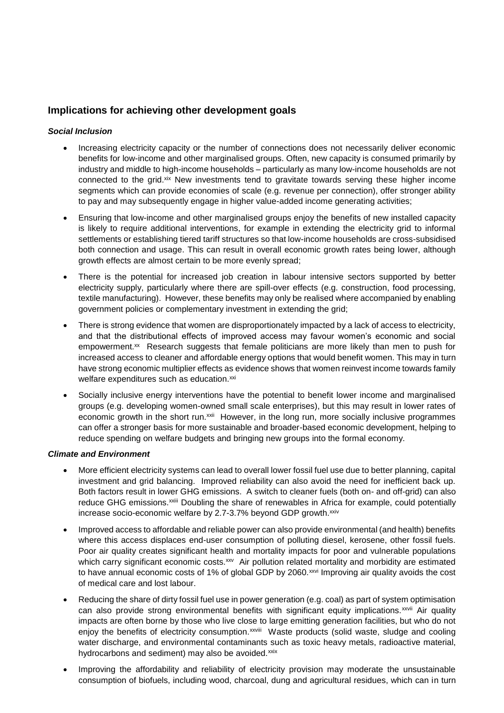## **Implications for achieving other development goals**

#### *Social Inclusion*

- Increasing electricity capacity or the number of connections does not necessarily deliver economic benefits for low-income and other marginalised groups. Often, new capacity is consumed primarily by industry and middle to high-income households – particularly as many low-income households are not connected to the grid.xix New investments tend to gravitate towards serving these higher income segments which can provide economies of scale (e.g. revenue per connection), offer stronger ability to pay and may subsequently engage in higher value-added income generating activities;
- Ensuring that low-income and other marginalised groups enjoy the benefits of new installed capacity is likely to require additional interventions, for example in extending the electricity grid to informal settlements or establishing tiered tariff structures so that low-income households are cross-subsidised both connection and usage. This can result in overall economic growth rates being lower, although growth effects are almost certain to be more evenly spread;
- There is the potential for increased job creation in labour intensive sectors supported by better electricity supply, particularly where there are spill-over effects (e.g. construction, food processing, textile manufacturing). However, these benefits may only be realised where accompanied by enabling government policies or complementary investment in extending the grid;
- There is strong evidence that women are disproportionately impacted by a lack of access to electricity, and that the distributional effects of improved access may favour women's economic and social empowerment.<sup>xx</sup> Research suggests that female politicians are more likely than men to push for increased access to cleaner and affordable energy options that would benefit women. This may in turn have strong economic multiplier effects as evidence shows that women reinvest income towards family welfare expenditures such as education.<sup>xxi</sup>
- Socially inclusive energy interventions have the potential to benefit lower income and marginalised groups (e.g. developing women-owned small scale enterprises), but this may result in lower rates of economic growth in the short run.<sup>xxii</sup> However, in the long run, more socially inclusive programmes can offer a stronger basis for more sustainable and broader-based economic development, helping to reduce spending on welfare budgets and bringing new groups into the formal economy.

#### *Climate and Environment*

- More efficient electricity systems can lead to overall lower fossil fuel use due to better planning, capital investment and grid balancing. Improved reliability can also avoid the need for inefficient back up. Both factors result in lower GHG emissions. A switch to cleaner fuels (both on- and off-grid) can also reduce GHG emissions.<sup>xxiii</sup> Doubling the share of renewables in Africa for example, could potentially increase socio-economic welfare by 2.7-3.7% beyond GDP growth.<sup>xxiv</sup>
- Improved access to affordable and reliable power can also provide environmental (and health) benefits where this access displaces end-user consumption of polluting diesel, kerosene, other fossil fuels. Poor air quality creates significant health and mortality impacts for poor and vulnerable populations which carry significant economic costs.<sup>xxv</sup> Air pollution related mortality and morbidity are estimated to have annual economic costs of 1% of global GDP by 2060.<sup>xxvi</sup> Improving air quality avoids the cost of medical care and lost labour.
- Reducing the share of dirty fossil fuel use in power generation (e.g. coal) as part of system optimisation can also provide strong environmental benefits with significant equity implications.<sup>xxvii</sup> Air quality impacts are often borne by those who live close to large emitting generation facilities, but who do not enjoy the benefits of electricity consumption.<sup>xxviii</sup> Waste products (solid waste, sludge and cooling water discharge, and environmental contaminants such as toxic heavy metals, radioactive material, hydrocarbons and sediment) may also be avoided.xxix
- Improving the affordability and reliability of electricity provision may moderate the unsustainable consumption of biofuels, including wood, charcoal, dung and agricultural residues, which can in turn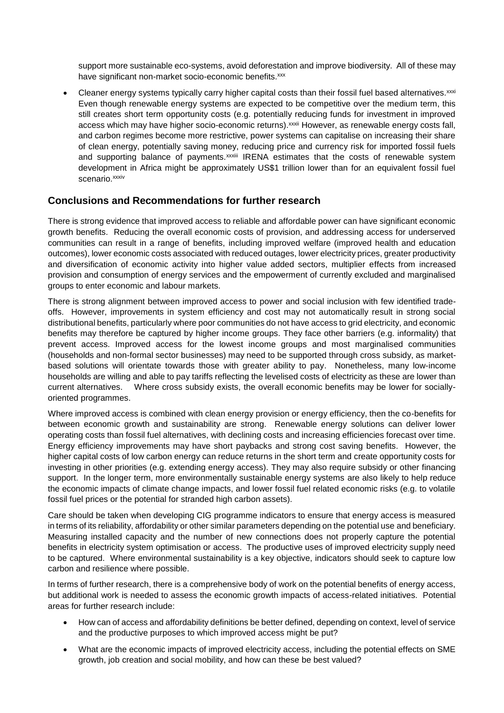support more sustainable eco-systems, avoid deforestation and improve biodiversity. All of these may have significant non-market socio-economic benefits.<sup>xxx</sup>

 $\bullet$  Cleaner energy systems typically carry higher capital costs than their fossil fuel based alternatives. $xxx$ Even though renewable energy systems are expected to be competitive over the medium term, this still creates short term opportunity costs (e.g. potentially reducing funds for investment in improved access which may have higher socio-economic returns). xxxii However, as renewable energy costs fall, and carbon regimes become more restrictive, power systems can capitalise on increasing their share of clean energy, potentially saving money, reducing price and currency risk for imported fossil fuels and supporting balance of payments.<sup>xxxiii</sup> IRENA estimates that the costs of renewable system development in Africa might be approximately US\$1 trillion lower than for an equivalent fossil fuel scenario.xxxiv

#### **Conclusions and Recommendations for further research**

There is strong evidence that improved access to reliable and affordable power can have significant economic growth benefits. Reducing the overall economic costs of provision, and addressing access for underserved communities can result in a range of benefits, including improved welfare (improved health and education outcomes), lower economic costs associated with reduced outages, lower electricity prices, greater productivity and diversification of economic activity into higher value added sectors, multiplier effects from increased provision and consumption of energy services and the empowerment of currently excluded and marginalised groups to enter economic and labour markets.

There is strong alignment between improved access to power and social inclusion with few identified tradeoffs. However, improvements in system efficiency and cost may not automatically result in strong social distributional benefits, particularly where poor communities do not have access to grid electricity, and economic benefits may therefore be captured by higher income groups. They face other barriers (e.g. informality) that prevent access. Improved access for the lowest income groups and most marginalised communities (households and non-formal sector businesses) may need to be supported through cross subsidy, as marketbased solutions will orientate towards those with greater ability to pay. Nonetheless, many low-income households are willing and able to pay tariffs reflecting the levelised costs of electricity as these are lower than current alternatives. Where cross subsidy exists, the overall economic benefits may be lower for sociallyoriented programmes.

Where improved access is combined with clean energy provision or energy efficiency, then the co-benefits for between economic growth and sustainability are strong. Renewable energy solutions can deliver lower operating costs than fossil fuel alternatives, with declining costs and increasing efficiencies forecast over time. Energy efficiency improvements may have short paybacks and strong cost saving benefits. However, the higher capital costs of low carbon energy can reduce returns in the short term and create opportunity costs for investing in other priorities (e.g. extending energy access). They may also require subsidy or other financing support. In the longer term, more environmentally sustainable energy systems are also likely to help reduce the economic impacts of climate change impacts, and lower fossil fuel related economic risks (e.g. to volatile fossil fuel prices or the potential for stranded high carbon assets).

Care should be taken when developing CIG programme indicators to ensure that energy access is measured in terms of its reliability, affordability or other similar parameters depending on the potential use and beneficiary. Measuring installed capacity and the number of new connections does not properly capture the potential benefits in electricity system optimisation or access. The productive uses of improved electricity supply need to be captured. Where environmental sustainability is a key objective, indicators should seek to capture low carbon and resilience where possible.

In terms of further research, there is a comprehensive body of work on the potential benefits of energy access, but additional work is needed to assess the economic growth impacts of access-related initiatives. Potential areas for further research include:

- How can of access and affordability definitions be better defined, depending on context, level of service and the productive purposes to which improved access might be put?
- What are the economic impacts of improved electricity access, including the potential effects on SME growth, job creation and social mobility, and how can these be best valued?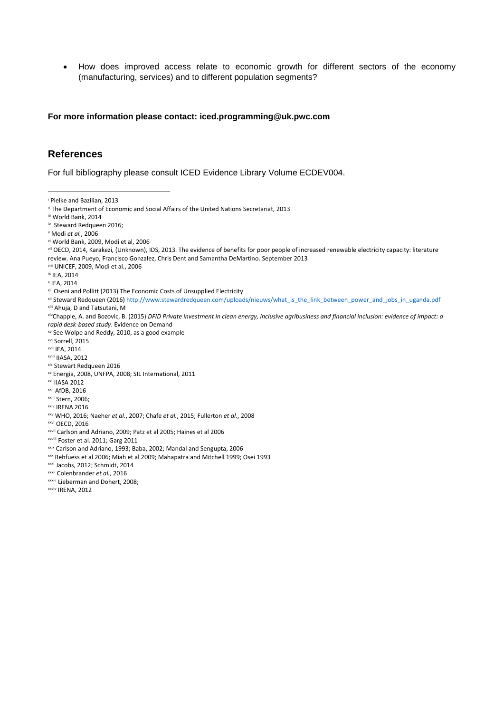How does improved access relate to economic growth for different sectors of the economy (manufacturing, services) and to different population segments?

**For more information please contact: iced.programming@uk.pwc.com**

#### **References**

For full bibliography please consult ICED Evidence Library Volume ECDEV004.

- ii The Department of Economic and Social Affairs of the United Nations Secretariat, 2013
- iii World Bank, 2014
- iv Steward Redqueen 2016;
- <sup>v</sup> Modi *et al.*, 2006
- vi World Bank, 2009, Modi et al, 2006
- vii OECD, 2014, Karakezi, (Unknown), IDS, 2013. The evidence of benefits for poor people of increased renewable electricity capacity: literature review. Ana Pueyo, Francisco Gonzalez, Chris Dent and Samantha DeMartino. September 2013
- viii UNICEF, 2009, Modi et al., 2006
- ix IEA, 2014

**.** 

- x IEA, 2014
- xi Oseni and Pollitt (2013) The Economic Costs of Unsupplied Electricity
- xii Steward Redqueen (2016[\) http://www.stewardredqueen.com/uploads/nieuws/what\\_is\\_the\\_link\\_between\\_power\\_and\\_jobs\\_in\\_uganda.pdf](http://www.stewardredqueen.com/uploads/nieuws/what_is_the_link_between_power_and_jobs_in_uganda.pdf) xiii Ahuja, D and Tatsutani, M
- xivChapple, A. and Bozovic, B. (2015) *DFID Private investment in clean energy, inclusive agribusiness and financial inclusion: evidence of impact: a rapid desk-based study*. Evidence on Demand
- xv See Wolpe and Reddy, 2010, as a good example
- xvi Sorrell, 2015
- xvii IEA, 2014
- xviii IIASA, 2012
- xix Stewart Redqueen 2016
- xx Energia, 2008, UNFPA, 2008; SIL International, 2011
- xxi IIASA 2012
- xxii AfDB, 2016
- xxiii Stern, 2006;
- xxiv IRENA 2016
- xxv WHO, 2016; Naeher *et al.*, 2007; Chafe *et al.*, 2015; Fullerton *et al.*, 2008
- xxvi OECD, 2016
- xxvii Carlson and Adriano, 2009; Patz et al 2005; Haines et al 2006
- xxviii Foster et al. 2011; Garg 2011

- xxx Rehfuess et al 2006; Miah et al 2009; Mahapatra and Mitchell 1999; Osei 1993
- xxxi Jacobs, 2012; Schmidt, 2014
- xxxii Colenbrander *et al.*, 2016
- xxxiii Lieberman and Dohert, 2008;
- xxxiv IRENA, 2012

<sup>i</sup> Pielke and Bazilian, 2013

xxix Carlson and Adriano, 1993; Baba, 2002; Mandal and Sengupta, 2006